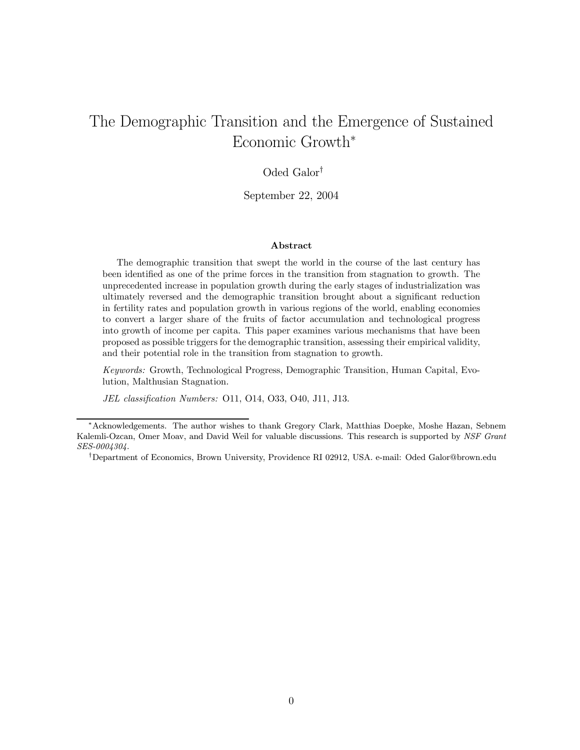# The Demographic Transition and the Emergence of Sustained Economic Growth<sup>∗</sup>

## Oded Galor†

September 22, 2004

#### Abstract

The demographic transition that swept the world in the course of the last century has been identified as one of the prime forces in the transition from stagnation to growth. The unprecedented increase in population growth during the early stages of industrialization was ultimately reversed and the demographic transition brought about a significant reduction in fertility rates and population growth in various regions of the world, enabling economies to convert a larger share of the fruits of factor accumulation and technological progress into growth of income per capita. This paper examines various mechanisms that have been proposed as possible triggers for the demographic transition, assessing their empirical validity, and their potential role in the transition from stagnation to growth.

Keywords: Growth, Technological Progress, Demographic Transition, Human Capital, Evolution, Malthusian Stagnation.

JEL classification Numbers: O11, O14, O33, O40, J11, J13.

<sup>∗</sup>Acknowledgements. The author wishes to thank Gregory Clark, Matthias Doepke, Moshe Hazan, Sebnem Kalemli-Ozcan, Omer Moav, and David Weil for valuable discussions. This research is supported by NSF Grant SES-0004304.

<sup>†</sup>Department of Economics, Brown University, Providence RI 02912, USA. e-mail: Oded Galor@brown.edu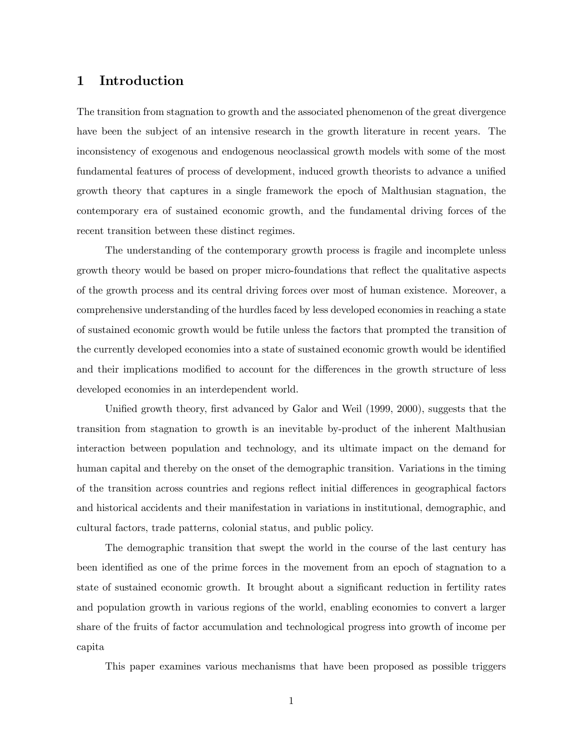## 1 Introduction

The transition from stagnation to growth and the associated phenomenon of the great divergence have been the subject of an intensive research in the growth literature in recent years. The inconsistency of exogenous and endogenous neoclassical growth models with some of the most fundamental features of process of development, induced growth theorists to advance a unified growth theory that captures in a single framework the epoch of Malthusian stagnation, the contemporary era of sustained economic growth, and the fundamental driving forces of the recent transition between these distinct regimes.

The understanding of the contemporary growth process is fragile and incomplete unless growth theory would be based on proper micro-foundations that reflect the qualitative aspects of the growth process and its central driving forces over most of human existence. Moreover, a comprehensive understanding of the hurdles faced by less developed economies in reaching a state of sustained economic growth would be futile unless the factors that prompted the transition of the currently developed economies into a state of sustained economic growth would be identified and their implications modified to account for the differences in the growth structure of less developed economies in an interdependent world.

Unified growth theory, first advanced by Galor and Weil (1999, 2000), suggests that the transition from stagnation to growth is an inevitable by-product of the inherent Malthusian interaction between population and technology, and its ultimate impact on the demand for human capital and thereby on the onset of the demographic transition. Variations in the timing of the transition across countries and regions reflect initial differences in geographical factors and historical accidents and their manifestation in variations in institutional, demographic, and cultural factors, trade patterns, colonial status, and public policy.

The demographic transition that swept the world in the course of the last century has been identified as one of the prime forces in the movement from an epoch of stagnation to a state of sustained economic growth. It brought about a significant reduction in fertility rates and population growth in various regions of the world, enabling economies to convert a larger share of the fruits of factor accumulation and technological progress into growth of income per capita

This paper examines various mechanisms that have been proposed as possible triggers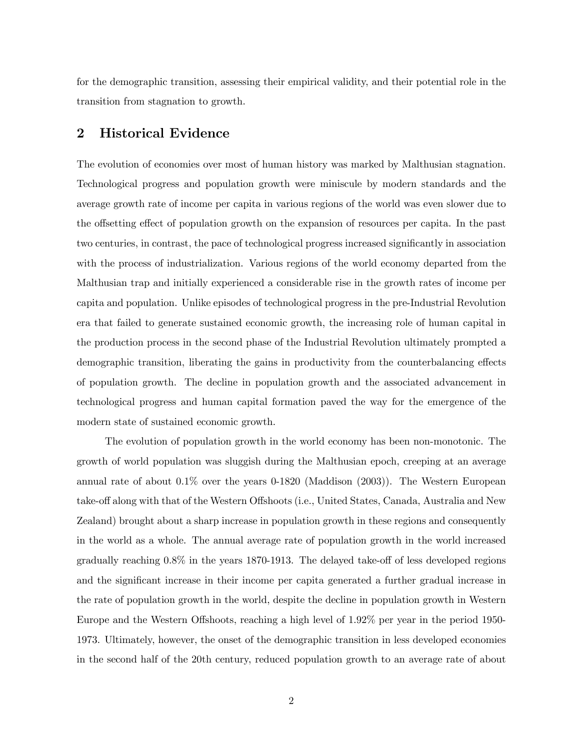for the demographic transition, assessing their empirical validity, and their potential role in the transition from stagnation to growth.

## 2 Historical Evidence

The evolution of economies over most of human history was marked by Malthusian stagnation. Technological progress and population growth were miniscule by modern standards and the average growth rate of income per capita in various regions of the world was even slower due to the offsetting effect of population growth on the expansion of resources per capita. In the past two centuries, in contrast, the pace of technological progress increased significantly in association with the process of industrialization. Various regions of the world economy departed from the Malthusian trap and initially experienced a considerable rise in the growth rates of income per capita and population. Unlike episodes of technological progress in the pre-Industrial Revolution era that failed to generate sustained economic growth, the increasing role of human capital in the production process in the second phase of the Industrial Revolution ultimately prompted a demographic transition, liberating the gains in productivity from the counterbalancing effects of population growth. The decline in population growth and the associated advancement in technological progress and human capital formation paved the way for the emergence of the modern state of sustained economic growth.

The evolution of population growth in the world economy has been non-monotonic. The growth of world population was sluggish during the Malthusian epoch, creeping at an average annual rate of about 0.1% over the years 0-1820 (Maddison (2003)). The Western European take-off along with that of the Western Offshoots (i.e., United States, Canada, Australia and New Zealand) brought about a sharp increase in population growth in these regions and consequently in the world as a whole. The annual average rate of population growth in the world increased gradually reaching 0.8% in the years 1870-1913. The delayed take-off of less developed regions and the significant increase in their income per capita generated a further gradual increase in the rate of population growth in the world, despite the decline in population growth in Western Europe and the Western Offshoots, reaching a high level of 1.92% per year in the period 1950- 1973. Ultimately, however, the onset of the demographic transition in less developed economies in the second half of the 20th century, reduced population growth to an average rate of about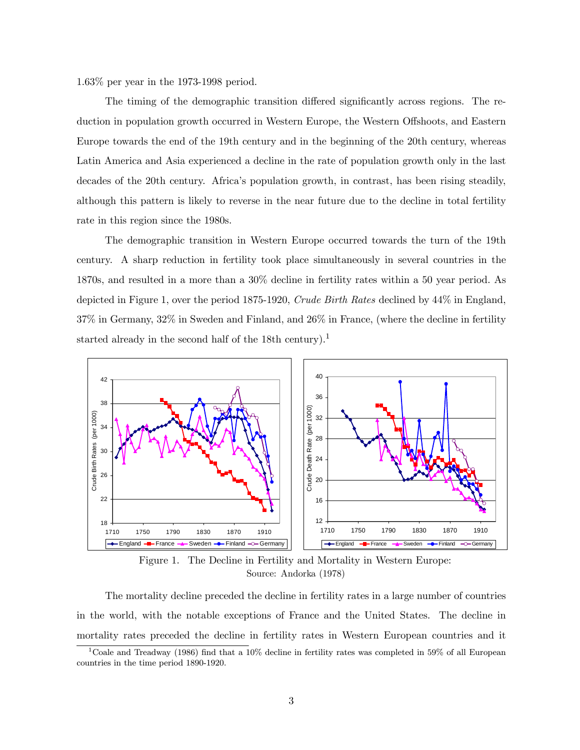1.63% per year in the 1973-1998 period.

The timing of the demographic transition differed significantly across regions. The reduction in population growth occurred in Western Europe, the Western Offshoots, and Eastern Europe towards the end of the 19th century and in the beginning of the 20th century, whereas Latin America and Asia experienced a decline in the rate of population growth only in the last decades of the 20th century. Africa's population growth, in contrast, has been rising steadily, although this pattern is likely to reverse in the near future due to the decline in total fertility rate in this region since the 1980s.

The demographic transition in Western Europe occurred towards the turn of the 19th century. A sharp reduction in fertility took place simultaneously in several countries in the 1870s, and resulted in a more than a 30% decline in fertility rates within a 50 year period. As depicted in Figure 1, over the period 1875-1920, Crude Birth Rates declined by 44\% in England, 37% in Germany, 32% in Sweden and Finland, and 26% in France, (where the decline in fertility started already in the second half of the 18th century).<sup>1</sup>



Figure 1. The Decline in Fertility and Mortality in Western Europe: Source: Andorka (1978)

The mortality decline preceded the decline in fertility rates in a large number of countries in the world, with the notable exceptions of France and the United States. The decline in mortality rates preceded the decline in fertility rates in Western European countries and it

<sup>&</sup>lt;sup>1</sup>Coale and Treadway (1986) find that a 10% decline in fertility rates was completed in 59% of all European countries in the time period 1890-1920.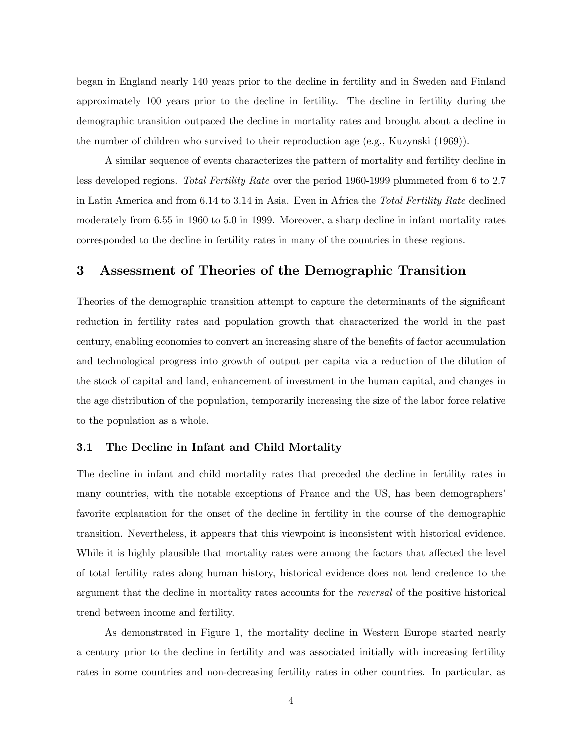began in England nearly 140 years prior to the decline in fertility and in Sweden and Finland approximately 100 years prior to the decline in fertility. The decline in fertility during the demographic transition outpaced the decline in mortality rates and brought about a decline in the number of children who survived to their reproduction age (e.g., Kuzynski (1969)).

A similar sequence of events characterizes the pattern of mortality and fertility decline in less developed regions. Total Fertility Rate over the period 1960-1999 plummeted from 6 to 2.7 in Latin America and from 6.14 to 3.14 in Asia. Even in Africa the Total Fertility Rate declined moderately from 6.55 in 1960 to 5.0 in 1999. Moreover, a sharp decline in infant mortality rates corresponded to the decline in fertility rates in many of the countries in these regions.

## 3 Assessment of Theories of the Demographic Transition

Theories of the demographic transition attempt to capture the determinants of the significant reduction in fertility rates and population growth that characterized the world in the past century, enabling economies to convert an increasing share of the benefits of factor accumulation and technological progress into growth of output per capita via a reduction of the dilution of the stock of capital and land, enhancement of investment in the human capital, and changes in the age distribution of the population, temporarily increasing the size of the labor force relative to the population as a whole.

### 3.1 The Decline in Infant and Child Mortality

The decline in infant and child mortality rates that preceded the decline in fertility rates in many countries, with the notable exceptions of France and the US, has been demographers' favorite explanation for the onset of the decline in fertility in the course of the demographic transition. Nevertheless, it appears that this viewpoint is inconsistent with historical evidence. While it is highly plausible that mortality rates were among the factors that affected the level of total fertility rates along human history, historical evidence does not lend credence to the argument that the decline in mortality rates accounts for the reversal of the positive historical trend between income and fertility.

As demonstrated in Figure 1, the mortality decline in Western Europe started nearly a century prior to the decline in fertility and was associated initially with increasing fertility rates in some countries and non-decreasing fertility rates in other countries. In particular, as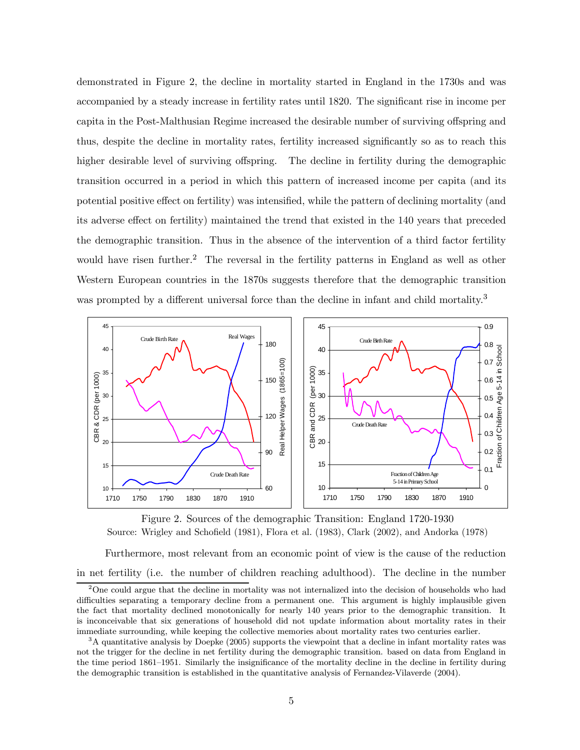demonstrated in Figure 2, the decline in mortality started in England in the 1730s and was accompanied by a steady increase in fertility rates until 1820. The significant rise in income per capita in the Post-Malthusian Regime increased the desirable number of surviving offspring and thus, despite the decline in mortality rates, fertility increased significantly so as to reach this higher desirable level of surviving offspring. The decline in fertility during the demographic transition occurred in a period in which this pattern of increased income per capita (and its potential positive effect on fertility) was intensified, while the pattern of declining mortality (and its adverse effect on fertility) maintained the trend that existed in the 140 years that preceded the demographic transition. Thus in the absence of the intervention of a third factor fertility would have risen further.<sup>2</sup> The reversal in the fertility patterns in England as well as other Western European countries in the 1870s suggests therefore that the demographic transition was prompted by a different universal force than the decline in infant and child mortality.<sup>3</sup>





Furthermore, most relevant from an economic point of view is the cause of the reduction in net fertility (i.e. the number of children reaching adulthood). The decline in the number

<sup>&</sup>lt;sup>2</sup>One could argue that the decline in mortality was not internalized into the decision of households who had difficulties separating a temporary decline from a permanent one. This argument is highly implausible given the fact that mortality declined monotonically for nearly 140 years prior to the demographic transition. It is inconceivable that six generations of household did not update information about mortality rates in their immediate surrounding, while keeping the collective memories about mortality rates two centuries earlier.

<sup>3</sup>A quantitative analysis by Doepke (2005) supports the viewpoint that a decline in infant mortality rates was not the trigger for the decline in net fertility during the demographic transition. based on data from England in the time period 1861—1951. Similarly the insignificance of the mortality decline in the decline in fertility during the demographic transition is established in the quantitative analysis of Fernandez-Vilaverde (2004).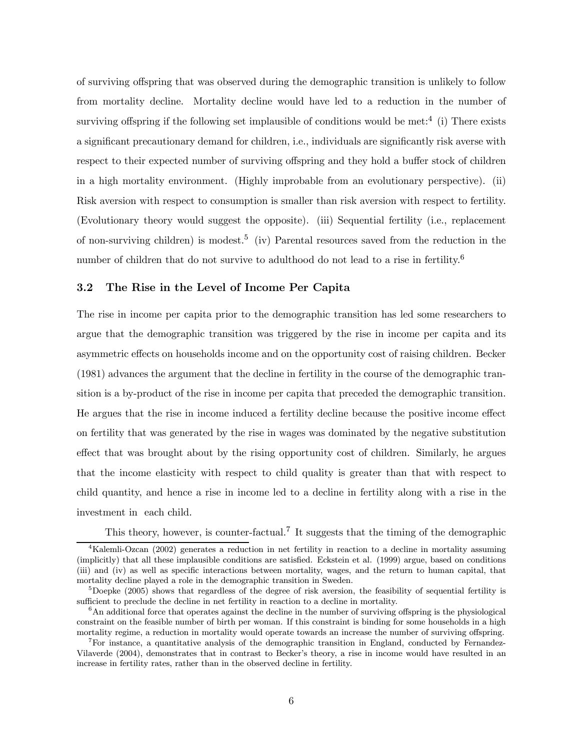of surviving offspring that was observed during the demographic transition is unlikely to follow from mortality decline. Mortality decline would have led to a reduction in the number of surviving offspring if the following set implausible of conditions would be met:<sup>4</sup> (i) There exists a significant precautionary demand for children, i.e., individuals are significantly risk averse with respect to their expected number of surviving offspring and they hold a buffer stock of children in a high mortality environment. (Highly improbable from an evolutionary perspective). (ii) Risk aversion with respect to consumption is smaller than risk aversion with respect to fertility. (Evolutionary theory would suggest the opposite). (iii) Sequential fertility (i.e., replacement of non-surviving children) is modest.<sup>5</sup> (iv) Parental resources saved from the reduction in the number of children that do not survive to adulthood do not lead to a rise in fertility.<sup>6</sup>

### 3.2 The Rise in the Level of Income Per Capita

The rise in income per capita prior to the demographic transition has led some researchers to argue that the demographic transition was triggered by the rise in income per capita and its asymmetric effects on households income and on the opportunity cost of raising children. Becker (1981) advances the argument that the decline in fertility in the course of the demographic transition is a by-product of the rise in income per capita that preceded the demographic transition. He argues that the rise in income induced a fertility decline because the positive income effect on fertility that was generated by the rise in wages was dominated by the negative substitution effect that was brought about by the rising opportunity cost of children. Similarly, he argues that the income elasticity with respect to child quality is greater than that with respect to child quantity, and hence a rise in income led to a decline in fertility along with a rise in the investment in each child.

This theory, however, is counter-factual.<sup>7</sup> It suggests that the timing of the demographic

<sup>&</sup>lt;sup>4</sup>Kalemli-Ozcan (2002) generates a reduction in net fertility in reaction to a decline in mortality assuming (implicitly) that all these implausible conditions are satisfied. Eckstein et al. (1999) argue, based on conditions (iii) and (iv) as well as specific interactions between mortality, wages, and the return to human capital, that mortality decline played a role in the demographic transition in Sweden.

 $5D$ oepke (2005) shows that regardless of the degree of risk aversion, the feasibility of sequential fertility is sufficient to preclude the decline in net fertility in reaction to a decline in mortality.

 ${}^{6}$ An additional force that operates against the decline in the number of surviving offspring is the physiological constraint on the feasible number of birth per woman. If this constraint is binding for some households in a high mortality regime, a reduction in mortality would operate towards an increase the number of surviving offspring.

<sup>7</sup>For instance, a quantitative analysis of the demographic transition in England, conducted by Fernandez-Vilaverde (2004), demonstrates that in contrast to Becker's theory, a rise in income would have resulted in an increase in fertility rates, rather than in the observed decline in fertility.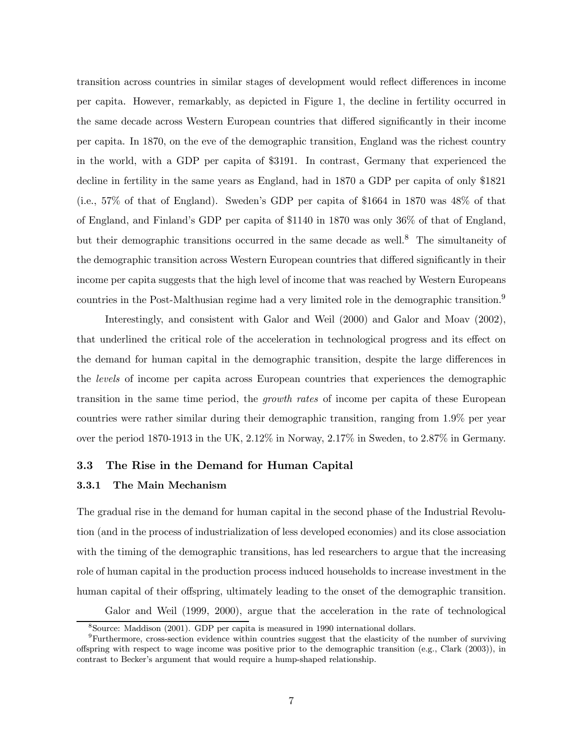transition across countries in similar stages of development would reflect differences in income per capita. However, remarkably, as depicted in Figure 1, the decline in fertility occurred in the same decade across Western European countries that differed significantly in their income per capita. In 1870, on the eve of the demographic transition, England was the richest country in the world, with a GDP per capita of \$3191. In contrast, Germany that experienced the decline in fertility in the same years as England, had in 1870 a GDP per capita of only \$1821 (i.e., 57% of that of England). Sweden's GDP per capita of \$1664 in 1870 was 48% of that of England, and Finland's GDP per capita of \$1140 in 1870 was only 36% of that of England, but their demographic transitions occurred in the same decade as well.<sup>8</sup> The simultaneity of the demographic transition across Western European countries that differed significantly in their income per capita suggests that the high level of income that was reached by Western Europeans countries in the Post-Malthusian regime had a very limited role in the demographic transition.<sup>9</sup>

Interestingly, and consistent with Galor and Weil (2000) and Galor and Moav (2002), that underlined the critical role of the acceleration in technological progress and its effect on the demand for human capital in the demographic transition, despite the large differences in the levels of income per capita across European countries that experiences the demographic transition in the same time period, the growth rates of income per capita of these European countries were rather similar during their demographic transition, ranging from 1.9% per year over the period 1870-1913 in the UK, 2.12% in Norway, 2.17% in Sweden, to 2.87% in Germany.

#### 3.3 The Rise in the Demand for Human Capital

#### 3.3.1 The Main Mechanism

The gradual rise in the demand for human capital in the second phase of the Industrial Revolution (and in the process of industrialization of less developed economies) and its close association with the timing of the demographic transitions, has led researchers to argue that the increasing role of human capital in the production process induced households to increase investment in the human capital of their offspring, ultimately leading to the onset of the demographic transition.

Galor and Weil (1999, 2000), argue that the acceleration in the rate of technological

<sup>8</sup>Source: Maddison (2001). GDP per capita is measured in 1990 international dollars.

<sup>9</sup>Furthermore, cross-section evidence within countries suggest that the elasticity of the number of surviving offspring with respect to wage income was positive prior to the demographic transition (e.g., Clark (2003)), in contrast to Becker's argument that would require a hump-shaped relationship.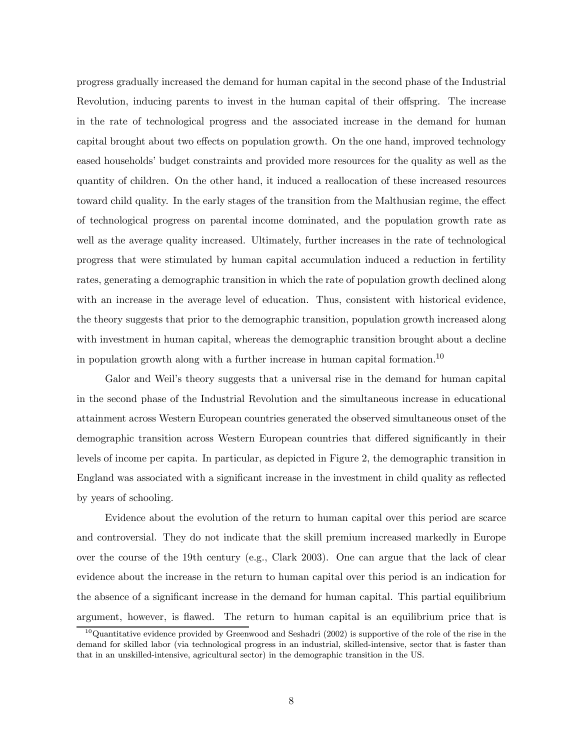progress gradually increased the demand for human capital in the second phase of the Industrial Revolution, inducing parents to invest in the human capital of their offspring. The increase in the rate of technological progress and the associated increase in the demand for human capital brought about two effects on population growth. On the one hand, improved technology eased households' budget constraints and provided more resources for the quality as well as the quantity of children. On the other hand, it induced a reallocation of these increased resources toward child quality. In the early stages of the transition from the Malthusian regime, the effect of technological progress on parental income dominated, and the population growth rate as well as the average quality increased. Ultimately, further increases in the rate of technological progress that were stimulated by human capital accumulation induced a reduction in fertility rates, generating a demographic transition in which the rate of population growth declined along with an increase in the average level of education. Thus, consistent with historical evidence, the theory suggests that prior to the demographic transition, population growth increased along with investment in human capital, whereas the demographic transition brought about a decline in population growth along with a further increase in human capital formation.<sup>10</sup>

Galor and Weil's theory suggests that a universal rise in the demand for human capital in the second phase of the Industrial Revolution and the simultaneous increase in educational attainment across Western European countries generated the observed simultaneous onset of the demographic transition across Western European countries that differed significantly in their levels of income per capita. In particular, as depicted in Figure 2, the demographic transition in England was associated with a significant increase in the investment in child quality as reflected by years of schooling.

Evidence about the evolution of the return to human capital over this period are scarce and controversial. They do not indicate that the skill premium increased markedly in Europe over the course of the 19th century (e.g., Clark 2003). One can argue that the lack of clear evidence about the increase in the return to human capital over this period is an indication for the absence of a significant increase in the demand for human capital. This partial equilibrium argument, however, is flawed. The return to human capital is an equilibrium price that is

<sup>&</sup>lt;sup>10</sup>Quantitative evidence provided by Greenwood and Seshadri (2002) is supportive of the role of the rise in the demand for skilled labor (via technological progress in an industrial, skilled-intensive, sector that is faster than that in an unskilled-intensive, agricultural sector) in the demographic transition in the US.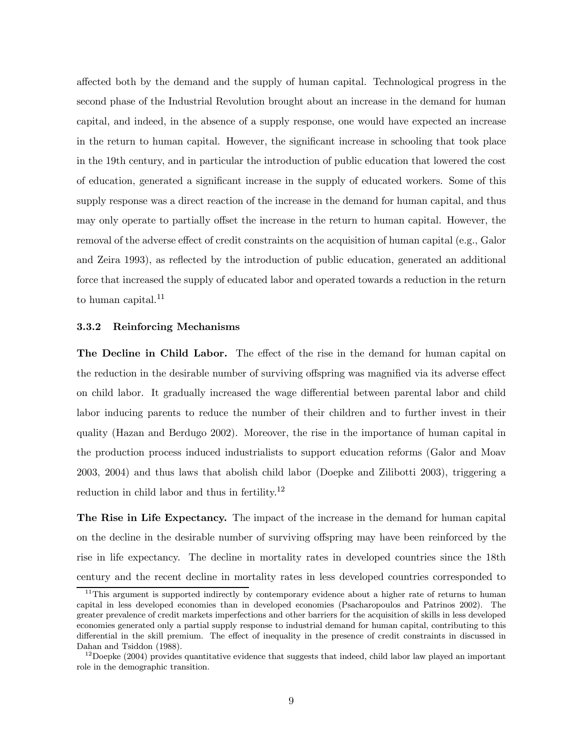affected both by the demand and the supply of human capital. Technological progress in the second phase of the Industrial Revolution brought about an increase in the demand for human capital, and indeed, in the absence of a supply response, one would have expected an increase in the return to human capital. However, the significant increase in schooling that took place in the 19th century, and in particular the introduction of public education that lowered the cost of education, generated a significant increase in the supply of educated workers. Some of this supply response was a direct reaction of the increase in the demand for human capital, and thus may only operate to partially offset the increase in the return to human capital. However, the removal of the adverse effect of credit constraints on the acquisition of human capital (e.g., Galor and Zeira 1993), as reflected by the introduction of public education, generated an additional force that increased the supply of educated labor and operated towards a reduction in the return to human capital.<sup>11</sup>

#### 3.3.2 Reinforcing Mechanisms

The Decline in Child Labor. The effect of the rise in the demand for human capital on the reduction in the desirable number of surviving offspring was magnified via its adverse effect on child labor. It gradually increased the wage differential between parental labor and child labor inducing parents to reduce the number of their children and to further invest in their quality (Hazan and Berdugo 2002). Moreover, the rise in the importance of human capital in the production process induced industrialists to support education reforms (Galor and Moav 2003, 2004) and thus laws that abolish child labor (Doepke and Zilibotti 2003), triggering a reduction in child labor and thus in fertility.<sup>12</sup>

The Rise in Life Expectancy. The impact of the increase in the demand for human capital on the decline in the desirable number of surviving offspring may have been reinforced by the rise in life expectancy. The decline in mortality rates in developed countries since the 18th century and the recent decline in mortality rates in less developed countries corresponded to

<sup>&</sup>lt;sup>11</sup>This argument is supported indirectly by contemporary evidence about a higher rate of returns to human capital in less developed economies than in developed economies (Psacharopoulos and Patrinos 2002). The greater prevalence of credit markets imperfections and other barriers for the acquisition of skills in less developed economies generated only a partial supply response to industrial demand for human capital, contributing to this differential in the skill premium. The effect of inequality in the presence of credit constraints in discussed in Dahan and Tsiddon (1988).

 $12$ Doepke (2004) provides quantitative evidence that suggests that indeed, child labor law played an important role in the demographic transition.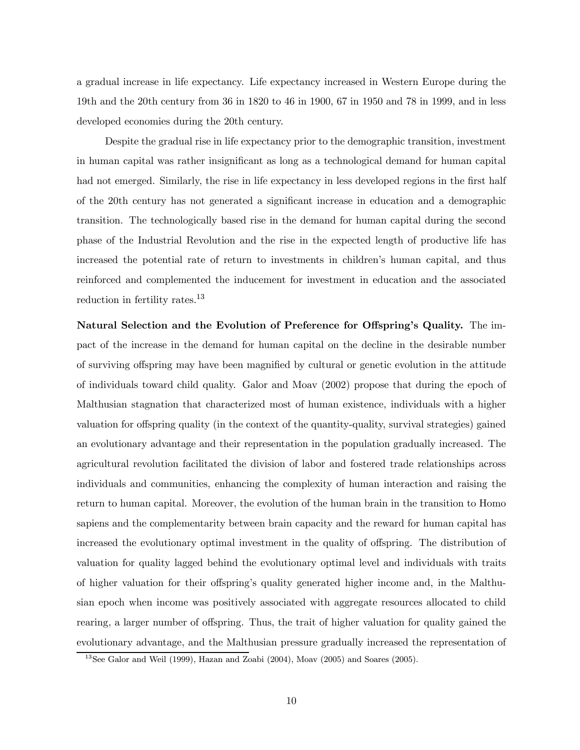a gradual increase in life expectancy. Life expectancy increased in Western Europe during the 19th and the 20th century from 36 in 1820 to 46 in 1900, 67 in 1950 and 78 in 1999, and in less developed economies during the 20th century.

Despite the gradual rise in life expectancy prior to the demographic transition, investment in human capital was rather insignificant as long as a technological demand for human capital had not emerged. Similarly, the rise in life expectancy in less developed regions in the first half of the 20th century has not generated a significant increase in education and a demographic transition. The technologically based rise in the demand for human capital during the second phase of the Industrial Revolution and the rise in the expected length of productive life has increased the potential rate of return to investments in children's human capital, and thus reinforced and complemented the inducement for investment in education and the associated reduction in fertility rates.<sup>13</sup>

Natural Selection and the Evolution of Preference for Offspring's Quality. The impact of the increase in the demand for human capital on the decline in the desirable number of surviving offspring may have been magnified by cultural or genetic evolution in the attitude of individuals toward child quality. Galor and Moav (2002) propose that during the epoch of Malthusian stagnation that characterized most of human existence, individuals with a higher valuation for offspring quality (in the context of the quantity-quality, survival strategies) gained an evolutionary advantage and their representation in the population gradually increased. The agricultural revolution facilitated the division of labor and fostered trade relationships across individuals and communities, enhancing the complexity of human interaction and raising the return to human capital. Moreover, the evolution of the human brain in the transition to Homo sapiens and the complementarity between brain capacity and the reward for human capital has increased the evolutionary optimal investment in the quality of offspring. The distribution of valuation for quality lagged behind the evolutionary optimal level and individuals with traits of higher valuation for their offspring's quality generated higher income and, in the Malthusian epoch when income was positively associated with aggregate resources allocated to child rearing, a larger number of offspring. Thus, the trait of higher valuation for quality gained the evolutionary advantage, and the Malthusian pressure gradually increased the representation of

 $13$ See Galor and Weil (1999), Hazan and Zoabi (2004), Moav (2005) and Soares (2005).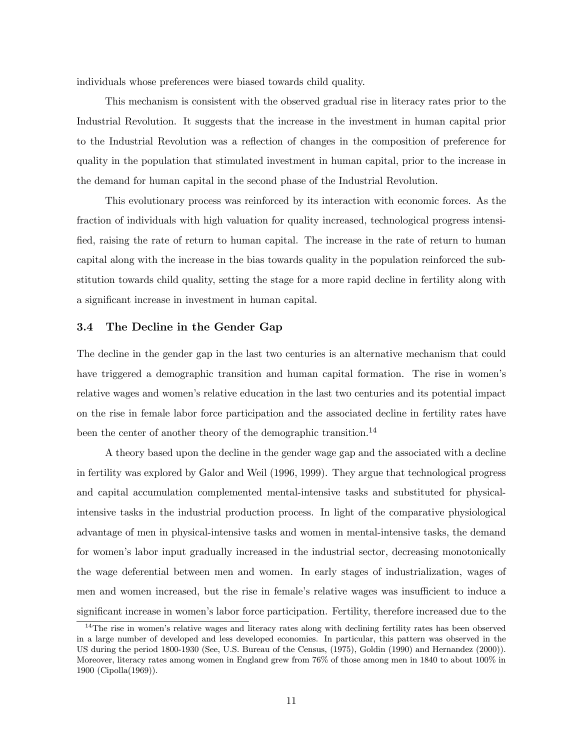individuals whose preferences were biased towards child quality.

This mechanism is consistent with the observed gradual rise in literacy rates prior to the Industrial Revolution. It suggests that the increase in the investment in human capital prior to the Industrial Revolution was a reflection of changes in the composition of preference for quality in the population that stimulated investment in human capital, prior to the increase in the demand for human capital in the second phase of the Industrial Revolution.

This evolutionary process was reinforced by its interaction with economic forces. As the fraction of individuals with high valuation for quality increased, technological progress intensified, raising the rate of return to human capital. The increase in the rate of return to human capital along with the increase in the bias towards quality in the population reinforced the substitution towards child quality, setting the stage for a more rapid decline in fertility along with a significant increase in investment in human capital.

#### 3.4 The Decline in the Gender Gap

The decline in the gender gap in the last two centuries is an alternative mechanism that could have triggered a demographic transition and human capital formation. The rise in women's relative wages and women's relative education in the last two centuries and its potential impact on the rise in female labor force participation and the associated decline in fertility rates have been the center of another theory of the demographic transition.<sup>14</sup>

A theory based upon the decline in the gender wage gap and the associated with a decline in fertility was explored by Galor and Weil (1996, 1999). They argue that technological progress and capital accumulation complemented mental-intensive tasks and substituted for physicalintensive tasks in the industrial production process. In light of the comparative physiological advantage of men in physical-intensive tasks and women in mental-intensive tasks, the demand for women's labor input gradually increased in the industrial sector, decreasing monotonically the wage deferential between men and women. In early stages of industrialization, wages of men and women increased, but the rise in female's relative wages was insufficient to induce a significant increase in women's labor force participation. Fertility, therefore increased due to the

<sup>&</sup>lt;sup>14</sup>The rise in women's relative wages and literacy rates along with declining fertility rates has been observed in a large number of developed and less developed economies. In particular, this pattern was observed in the US during the period 1800-1930 (See, U.S. Bureau of the Census, (1975), Goldin (1990) and Hernandez (2000)). Moreover, literacy rates among women in England grew from 76% of those among men in 1840 to about 100% in 1900 (Cipolla(1969)).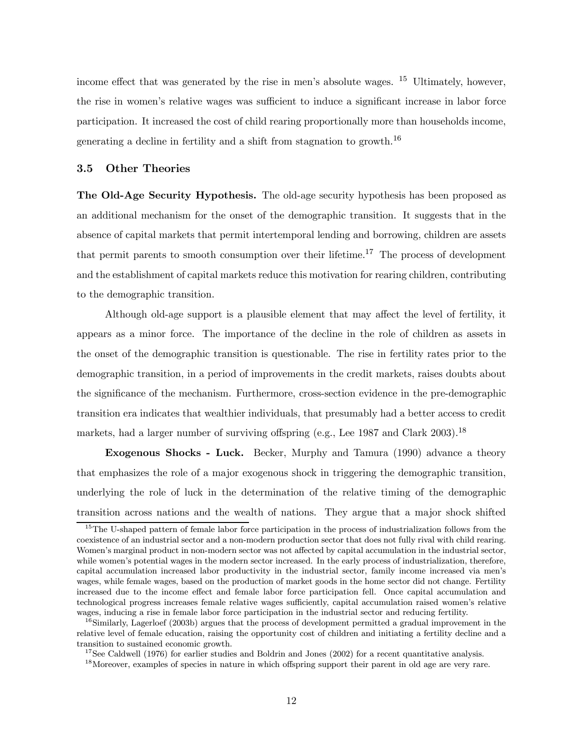income effect that was generated by the rise in men's absolute wages. <sup>15</sup> Ultimately, however, the rise in women's relative wages was sufficient to induce a significant increase in labor force participation. It increased the cost of child rearing proportionally more than households income, generating a decline in fertility and a shift from stagnation to growth.<sup>16</sup>

#### 3.5 Other Theories

The Old-Age Security Hypothesis. The old-age security hypothesis has been proposed as an additional mechanism for the onset of the demographic transition. It suggests that in the absence of capital markets that permit intertemporal lending and borrowing, children are assets that permit parents to smooth consumption over their lifetime.<sup>17</sup> The process of development and the establishment of capital markets reduce this motivation for rearing children, contributing to the demographic transition.

Although old-age support is a plausible element that may affect the level of fertility, it appears as a minor force. The importance of the decline in the role of children as assets in the onset of the demographic transition is questionable. The rise in fertility rates prior to the demographic transition, in a period of improvements in the credit markets, raises doubts about the significance of the mechanism. Furthermore, cross-section evidence in the pre-demographic transition era indicates that wealthier individuals, that presumably had a better access to credit markets, had a larger number of surviving offspring (e.g., Lee 1987 and Clark 2003).<sup>18</sup>

Exogenous Shocks - Luck. Becker, Murphy and Tamura (1990) advance a theory that emphasizes the role of a major exogenous shock in triggering the demographic transition, underlying the role of luck in the determination of the relative timing of the demographic transition across nations and the wealth of nations. They argue that a major shock shifted

<sup>&</sup>lt;sup>15</sup>The U-shaped pattern of female labor force participation in the process of industrialization follows from the coexistence of an industrial sector and a non-modern production sector that does not fully rival with child rearing. Women's marginal product in non-modern sector was not affected by capital accumulation in the industrial sector, while women's potential wages in the modern sector increased. In the early process of industrialization, therefore, capital accumulation increased labor productivity in the industrial sector, family income increased via men's wages, while female wages, based on the production of market goods in the home sector did not change. Fertility increased due to the income effect and female labor force participation fell. Once capital accumulation and technological progress increases female relative wages sufficiently, capital accumulation raised women's relative wages, inducing a rise in female labor force participation in the industrial sector and reducing fertility.

<sup>&</sup>lt;sup>16</sup>Similarly, Lagerloef (2003b) argues that the process of development permitted a gradual improvement in the relative level of female education, raising the opportunity cost of children and initiating a fertility decline and a transition to sustained economic growth.

<sup>&</sup>lt;sup>17</sup>See Caldwell (1976) for earlier studies and Boldrin and Jones (2002) for a recent quantitative analysis.

<sup>&</sup>lt;sup>18</sup>Moreover, examples of species in nature in which offspring support their parent in old age are very rare.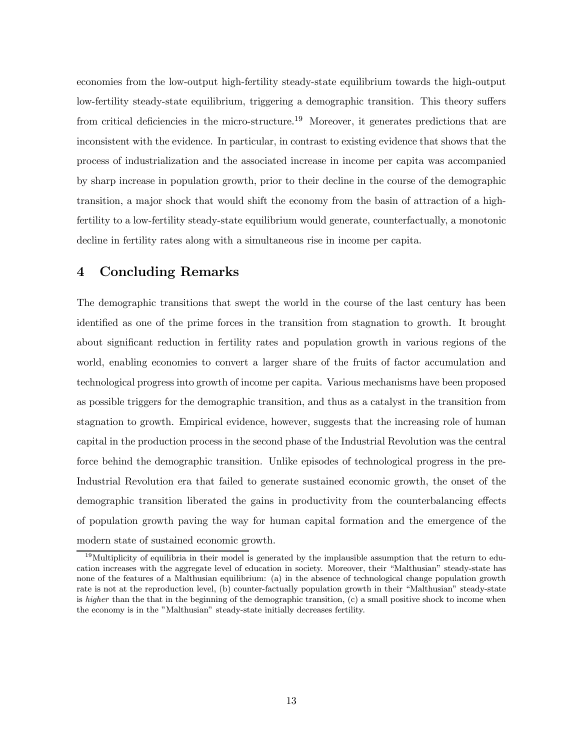economies from the low-output high-fertility steady-state equilibrium towards the high-output low-fertility steady-state equilibrium, triggering a demographic transition. This theory suffers from critical deficiencies in the micro-structure.<sup>19</sup> Moreover, it generates predictions that are inconsistent with the evidence. In particular, in contrast to existing evidence that shows that the process of industrialization and the associated increase in income per capita was accompanied by sharp increase in population growth, prior to their decline in the course of the demographic transition, a major shock that would shift the economy from the basin of attraction of a highfertility to a low-fertility steady-state equilibrium would generate, counterfactually, a monotonic decline in fertility rates along with a simultaneous rise in income per capita.

## 4 Concluding Remarks

The demographic transitions that swept the world in the course of the last century has been identified as one of the prime forces in the transition from stagnation to growth. It brought about significant reduction in fertility rates and population growth in various regions of the world, enabling economies to convert a larger share of the fruits of factor accumulation and technological progress into growth of income per capita. Various mechanisms have been proposed as possible triggers for the demographic transition, and thus as a catalyst in the transition from stagnation to growth. Empirical evidence, however, suggests that the increasing role of human capital in the production process in the second phase of the Industrial Revolution was the central force behind the demographic transition. Unlike episodes of technological progress in the pre-Industrial Revolution era that failed to generate sustained economic growth, the onset of the demographic transition liberated the gains in productivity from the counterbalancing effects of population growth paving the way for human capital formation and the emergence of the modern state of sustained economic growth.

 $19$ Multiplicity of equilibria in their model is generated by the implausible assumption that the return to education increases with the aggregate level of education in society. Moreover, their "Malthusian" steady-state has none of the features of a Malthusian equilibrium: (a) in the absence of technological change population growth rate is not at the reproduction level, (b) counter-factually population growth in their "Malthusian" steady-state is *higher* than the that in the beginning of the demographic transition, (c) a small positive shock to income when the economy is in the "Malthusian" steady-state initially decreases fertility.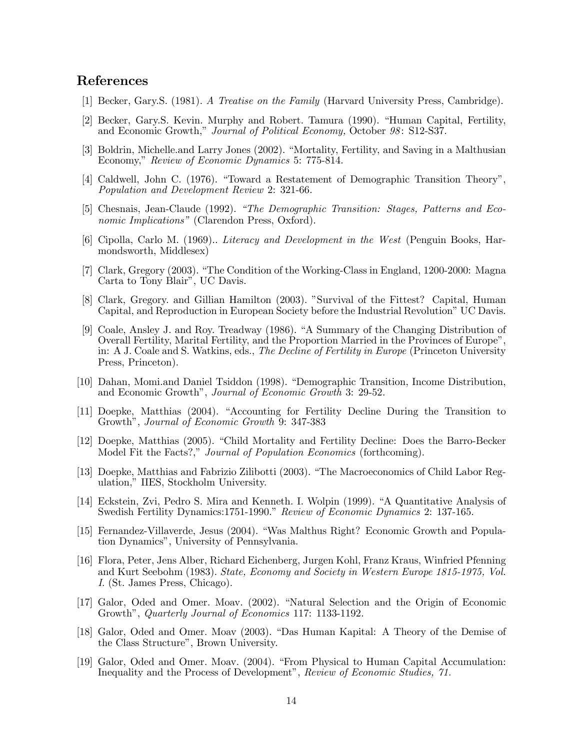## References

- [1] Becker, Gary.S. (1981). A Treatise on the Family (Harvard University Press, Cambridge).
- [2] Becker, Gary.S. Kevin. Murphy and Robert. Tamura (1990). "Human Capital, Fertility, and Economic Growth," Journal of Political Economy, October 98: S12-S37.
- [3] Boldrin, Michelle.and Larry Jones (2002). "Mortality, Fertility, and Saving in a Malthusian Economy," Review of Economic Dynamics 5: 775-814.
- [4] Caldwell, John C. (1976). "Toward a Restatement of Demographic Transition Theory", Population and Development Review 2: 321-66.
- [5] Chesnais, Jean-Claude (1992). "The Demographic Transition: Stages, Patterns and Economic Implications" (Clarendon Press, Oxford).
- [6] Cipolla, Carlo M. (1969).. Literacy and Development in the West (Penguin Books, Harmondsworth, Middlesex)
- [7] Clark, Gregory (2003). "The Condition of the Working-Class in England, 1200-2000: Magna Carta to Tony Blair", UC Davis.
- [8] Clark, Gregory. and Gillian Hamilton (2003). "Survival of the Fittest? Capital, Human Capital, and Reproduction in European Society before the Industrial Revolution" UC Davis.
- [9] Coale, Ansley J. and Roy. Treadway (1986). "A Summary of the Changing Distribution of Overall Fertility, Marital Fertility, and the Proportion Married in the Provinces of Europe", in: A J. Coale and S. Watkins, eds., The Decline of Fertility in Europe (Princeton University Press, Princeton).
- [10] Dahan, Momi.and Daniel Tsiddon (1998). "Demographic Transition, Income Distribution, and Economic Growth", Journal of Economic Growth 3: 29-52.
- [11] Doepke, Matthias (2004). "Accounting for Fertility Decline During the Transition to Growth", Journal of Economic Growth 9: 347-383
- [12] Doepke, Matthias (2005). "Child Mortality and Fertility Decline: Does the Barro-Becker Model Fit the Facts?," Journal of Population Economics (forthcoming).
- [13] Doepke, Matthias and Fabrizio Zilibotti (2003). "The Macroeconomics of Child Labor Regulation," IIES, Stockholm University.
- [14] Eckstein, Zvi, Pedro S. Mira and Kenneth. I. Wolpin (1999). "A Quantitative Analysis of Swedish Fertility Dynamics:1751-1990." Review of Economic Dynamics 2: 137-165.
- [15] Fernandez-Villaverde, Jesus (2004). "Was Malthus Right? Economic Growth and Population Dynamics", University of Pennsylvania.
- [16] Flora, Peter, Jens Alber, Richard Eichenberg, Jurgen Kohl, Franz Kraus, Winfried Pfenning and Kurt Seebohm (1983). State, Economy and Society in Western Europe 1815-1975, Vol. I. (St. James Press, Chicago).
- [17] Galor, Oded and Omer. Moav. (2002). "Natural Selection and the Origin of Economic Growth", Quarterly Journal of Economics 117: 1133-1192.
- [18] Galor, Oded and Omer. Moav (2003). "Das Human Kapital: A Theory of the Demise of the Class Structure", Brown University.
- [19] Galor, Oded and Omer. Moav. (2004). "From Physical to Human Capital Accumulation: Inequality and the Process of Development", Review of Economic Studies, 71.